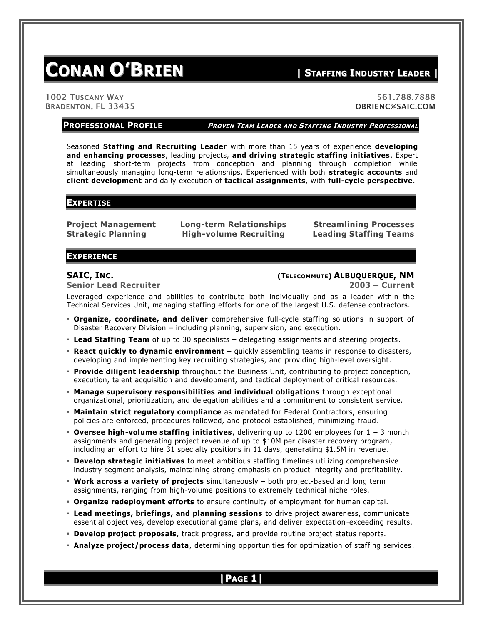# **CONAN O'BRIEN <sup>|</sup> <sup>S</sup>TAFFING <sup>I</sup>NDUSTRY <sup>L</sup>EADER <sup>|</sup>**

1002 TUSCANY WAY 561.788.7888 BRADENTON, FL 33435 [OBRIENC@SAIC.COM](mailto:OBRIENC@SAIC.COM)

**PROFESSIONAL PROFILE <sup>P</sup>ROVEN TEAM LEADER AND STAFFING INDUSTRY PROFESSIONAL**

Seasoned **Staffing and Recruiting Leader** with more than 15 years of experience **developing and enhancing processes**, leading projects, **and driving strategic staffing initiatives**. Expert at leading short-term projects from conception and planning through completion while simultaneously managing long-term relationships. Experienced with both **strategic accounts** and **client development** and daily execution of **tactical assignments**, with **full-cycle perspective**.

#### **EXPERTISE**

**Project Management Long-term Relationships Streamlining Processes Strategic Planning High-volume Recruiting Leading Staffing Teams**

### **EXPERIENCE**

**Senior Lead Recruiter 2003 – Current**

### **SAIC, INC. (TELECOMMUTE) ALBUQUERQUE, NM**

Leveraged experience and abilities to contribute both individually and as a leader within the Technical Services Unit, managing staffing efforts for one of the largest U.S. defense contractors.

- **Organize, coordinate, and deliver** comprehensive full-cycle staffing solutions in support of Disaster Recovery Division – including planning, supervision, and execution.
- **Lead Staffing Team** of up to 30 specialists delegating assignments and steering projects.
- **React quickly to dynamic environment** quickly assembling teams in response to disasters, developing and implementing key recruiting strategies, and providing high-level oversight.
- **Provide diligent leadership** throughout the Business Unit, contributing to project conception, execution, talent acquisition and development, and tactical deployment of critical resources.
- **Manage supervisory responsibilities and individual obligations** through exceptional organizational, prioritization, and delegation abilities and a commitment to consistent service.
- **EXA Maintain strict regulatory compliance** as mandated for Federal Contractors, ensuring policies are enforced, procedures followed, and protocol established, minimizing fraud.
- **Oversee high-volume staffing initiatives**, delivering up to 1200 employees for 1 3 month assignments and generating project revenue of up to \$10M per disaster recovery program , including an effort to hire 31 specialty positions in 11 days, generating \$1.5M in revenue .
- **Develop strategic initiatives** to meet ambitious staffing timelines utilizing comprehensive industry segment analysis, maintaining strong emphasis on product integrity and profitability.
- **Work across a variety of projects** simultaneously both project-based and long term assignments, ranging from high-volume positions to extremely technical niche roles.
- **Organize redeployment efforts** to ensure continuity of employment for human capital.
- **Lead meetings, briefings, and planning sessions** to drive project awareness, communicate essential objectives, develop executional game plans, and deliver expectation -exceeding results.
- **Develop project proposals**, track progress, and provide routine project status reports.
- **Analyze project/process data**, determining opportunities for optimization of staffing services.

**|PAGE 1|**